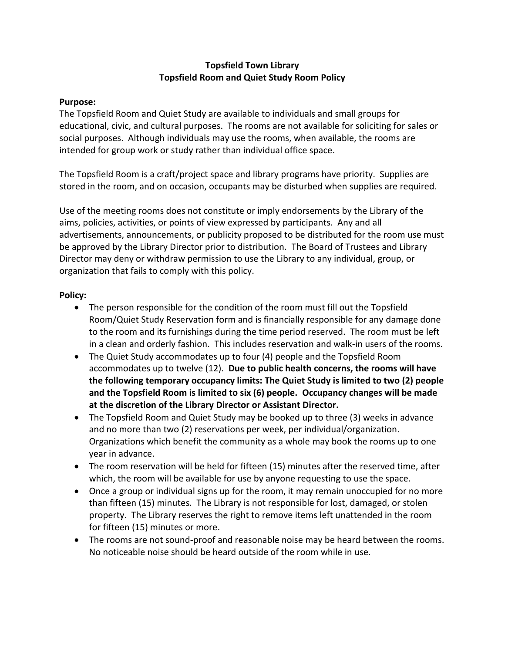## **Topsfield Town Library Topsfield Room and Quiet Study Room Policy**

## **Purpose:**

The Topsfield Room and Quiet Study are available to individuals and small groups for educational, civic, and cultural purposes. The rooms are not available for soliciting for sales or social purposes. Although individuals may use the rooms, when available, the rooms are intended for group work or study rather than individual office space.

The Topsfield Room is a craft/project space and library programs have priority. Supplies are stored in the room, and on occasion, occupants may be disturbed when supplies are required.

Use of the meeting rooms does not constitute or imply endorsements by the Library of the aims, policies, activities, or points of view expressed by participants. Any and all advertisements, announcements, or publicity proposed to be distributed for the room use must be approved by the Library Director prior to distribution. The Board of Trustees and Library Director may deny or withdraw permission to use the Library to any individual, group, or organization that fails to comply with this policy.

## **Policy:**

- The person responsible for the condition of the room must fill out the Topsfield Room/Quiet Study Reservation form and is financially responsible for any damage done to the room and its furnishings during the time period reserved. The room must be left in a clean and orderly fashion. This includes reservation and walk-in users of the rooms.
- The Quiet Study accommodates up to four (4) people and the Topsfield Room accommodates up to twelve (12). **Due to public health concerns, the rooms will have the following temporary occupancy limits: The Quiet Study is limited to two (2) people and the Topsfield Room is limited to six (6) people. Occupancy changes will be made at the discretion of the Library Director or Assistant Director.**
- The Topsfield Room and Quiet Study may be booked up to three (3) weeks in advance and no more than two (2) reservations per week, per individual/organization. Organizations which benefit the community as a whole may book the rooms up to one year in advance.
- The room reservation will be held for fifteen (15) minutes after the reserved time, after which, the room will be available for use by anyone requesting to use the space.
- Once a group or individual signs up for the room, it may remain unoccupied for no more than fifteen (15) minutes. The Library is not responsible for lost, damaged, or stolen property. The Library reserves the right to remove items left unattended in the room for fifteen (15) minutes or more.
- The rooms are not sound-proof and reasonable noise may be heard between the rooms. No noticeable noise should be heard outside of the room while in use.